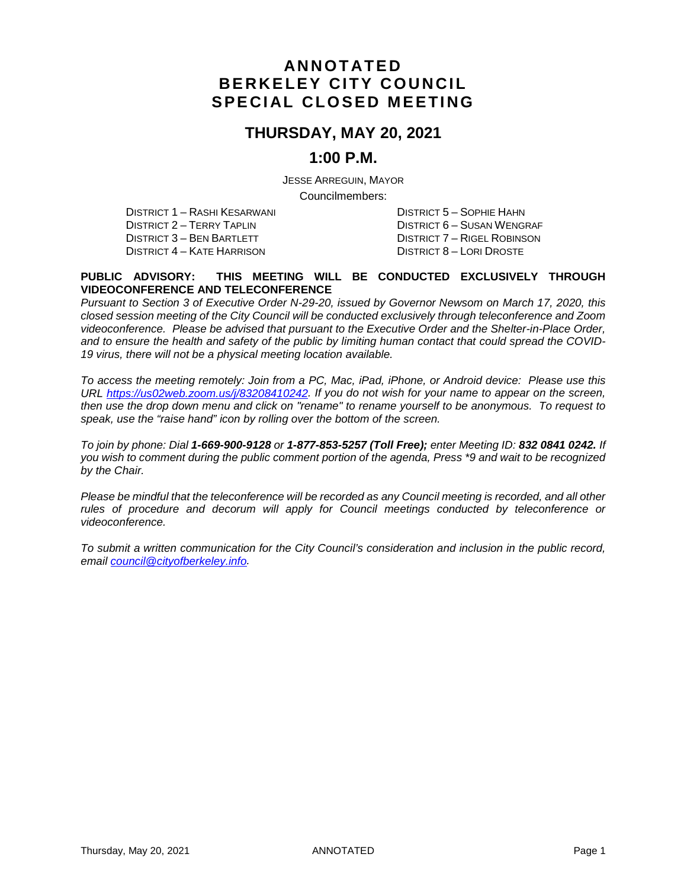# **ANNOTATED BERKELEY CITY COUNCIL SPECIAL CLOSED MEETING**

### **THURSDAY, MAY 20, 2021**

### **1:00 P.M.**

JESSE ARREGUIN, MAYOR

Councilmembers:

DISTRICT 1 – RASHI KESARWANI DISTRICT 5 – SOPHIE HAHN DISTRICT 2 – TERRY TAPLIN DISTRICT 3 – BEN BARTLETT DISTRICT 7 – RIGEL ROBINSON DISTRICT 4 – KATE HARRISON DISTRICT 8 – LORI DROSTE

#### **PUBLIC ADVISORY: THIS MEETING WILL BE CONDUCTED EXCLUSIVELY THROUGH VIDEOCONFERENCE AND TELECONFERENCE**

*Pursuant to Section 3 of Executive Order N-29-20, issued by Governor Newsom on March 17, 2020, this closed session meeting of the City Council will be conducted exclusively through teleconference and Zoom videoconference. Please be advised that pursuant to the Executive Order and the Shelter-in-Place Order, and to ensure the health and safety of the public by limiting human contact that could spread the COVID-19 virus, there will not be a physical meeting location available.* 

*To access the meeting remotely: Join from a PC, Mac, iPad, iPhone, or Android device: Please use this URL [https://us02web.zoom.us/j/83208410242.](https://us02web.zoom.us/j/83208410242) If you do not wish for your name to appear on the screen, then use the drop down menu and click on "rename" to rename yourself to be anonymous. To request to speak, use the "raise hand" icon by rolling over the bottom of the screen.* 

*To join by phone: Dial 1-669-900-9128 or 1-877-853-5257 (Toll Free); enter Meeting ID: 832 0841 0242. If you wish to comment during the public comment portion of the agenda, Press \*9 and wait to be recognized by the Chair.* 

*Please be mindful that the teleconference will be recorded as any Council meeting is recorded, and all other rules of procedure and decorum will apply for Council meetings conducted by teleconference or videoconference.*

*To submit a written communication for the City Council's consideration and inclusion in the public record, email [council@cityofberkeley.info.](mailto:council@cityofberkeley.info)*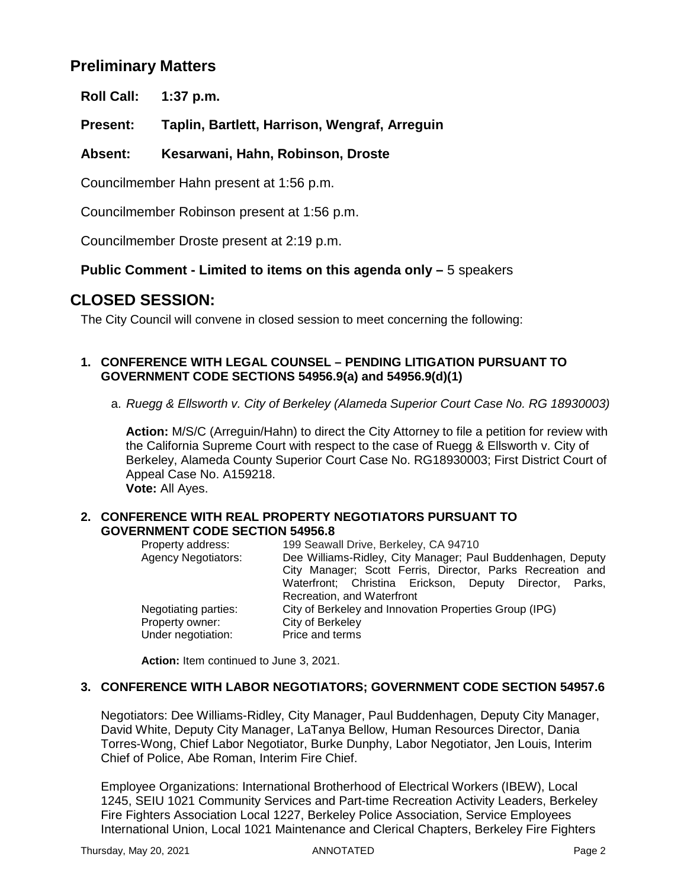# **Preliminary Matters**

**Roll Call: 1:37 p.m.**

**Present: Taplin, Bartlett, Harrison, Wengraf, Arreguin**

### **Absent: Kesarwani, Hahn, Robinson, Droste**

Councilmember Hahn present at 1:56 p.m.

Councilmember Robinson present at 1:56 p.m.

Councilmember Droste present at 2:19 p.m.

### **Public Comment - Limited to items on this agenda only –** 5 speakers

## **CLOSED SESSION:**

The City Council will convene in closed session to meet concerning the following:

### **1. CONFERENCE WITH LEGAL COUNSEL – PENDING LITIGATION PURSUANT TO GOVERNMENT CODE SECTIONS 54956.9(a) and 54956.9(d)(1)**

a. *Ruegg & Ellsworth v. City of Berkeley (Alameda Superior Court Case No. RG 18930003)* 

**Action:** M/S/C (Arreguin/Hahn) to direct the City Attorney to file a petition for review with the California Supreme Court with respect to the case of Ruegg & Ellsworth v. City of Berkeley, Alameda County Superior Court Case No. RG18930003; First District Court of Appeal Case No. A159218.

**Vote:** All Ayes.

#### **2. CONFERENCE WITH REAL PROPERTY NEGOTIATORS PURSUANT TO GOVERNMENT CODE SECTION 54956.8**

| Property address:          | 199 Seawall Drive, Berkeley, CA 94710                       |
|----------------------------|-------------------------------------------------------------|
| <b>Agency Negotiators:</b> | Dee Williams-Ridley, City Manager; Paul Buddenhagen, Deputy |
|                            | City Manager; Scott Ferris, Director, Parks Recreation and  |
|                            | Waterfront; Christina Erickson, Deputy Director, Parks,     |
|                            | Recreation, and Waterfront                                  |
| Negotiating parties:       | City of Berkeley and Innovation Properties Group (IPG)      |
| Property owner:            | City of Berkeley                                            |
| Under negotiation:         | Price and terms                                             |
|                            |                                                             |

**Action:** Item continued to June 3, 2021.

### **3. CONFERENCE WITH LABOR NEGOTIATORS; GOVERNMENT CODE SECTION 54957.6**

Negotiators: Dee Williams-Ridley, City Manager, Paul Buddenhagen, Deputy City Manager, David White, Deputy City Manager, LaTanya Bellow, Human Resources Director, Dania Torres-Wong, Chief Labor Negotiator, Burke Dunphy, Labor Negotiator, Jen Louis, Interim Chief of Police, Abe Roman, Interim Fire Chief.

Employee Organizations: International Brotherhood of Electrical Workers (IBEW), Local 1245, SEIU 1021 Community Services and Part-time Recreation Activity Leaders, Berkeley Fire Fighters Association Local 1227, Berkeley Police Association, Service Employees International Union, Local 1021 Maintenance and Clerical Chapters, Berkeley Fire Fighters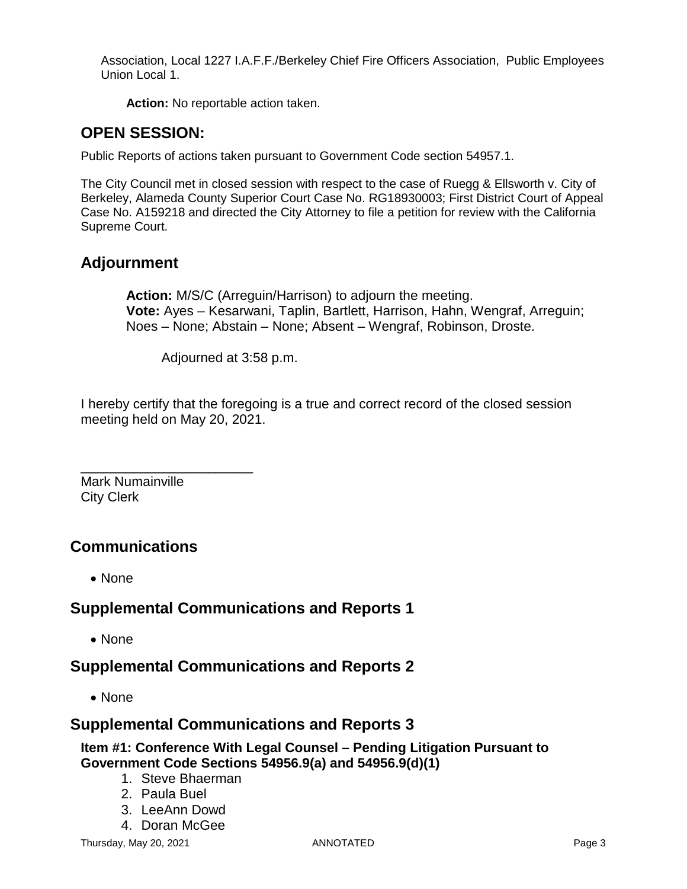Association, Local 1227 I.A.F.F./Berkeley Chief Fire Officers Association, Public Employees Union Local 1.

**Action:** No reportable action taken.

# **OPEN SESSION:**

Public Reports of actions taken pursuant to Government Code section 54957.1.

The City Council met in closed session with respect to the case of Ruegg & Ellsworth v. City of Berkeley, Alameda County Superior Court Case No. RG18930003; First District Court of Appeal Case No. A159218 and directed the City Attorney to file a petition for review with the California Supreme Court.

# **Adjournment**

**Action:** M/S/C (Arreguin/Harrison) to adjourn the meeting. **Vote:** Ayes – Kesarwani, Taplin, Bartlett, Harrison, Hahn, Wengraf, Arreguin; Noes – None; Abstain – None; Absent – Wengraf, Robinson, Droste.

Adjourned at 3:58 p.m.

I hereby certify that the foregoing is a true and correct record of the closed session meeting held on May 20, 2021.

\_\_\_\_\_\_\_\_\_\_\_\_\_\_\_\_\_\_\_\_\_\_\_ Mark Numainville City Clerk

# **Communications**

• None

# **Supplemental Communications and Reports 1**

• None

# **Supplemental Communications and Reports 2**

• None

### **Supplemental Communications and Reports 3**

### **Item #1: Conference With Legal Counsel – Pending Litigation Pursuant to Government Code Sections 54956.9(a) and 54956.9(d)(1)**

- 1. Steve Bhaerman
- 2. Paula Buel
- 3. LeeAnn Dowd
- 4. Doran McGee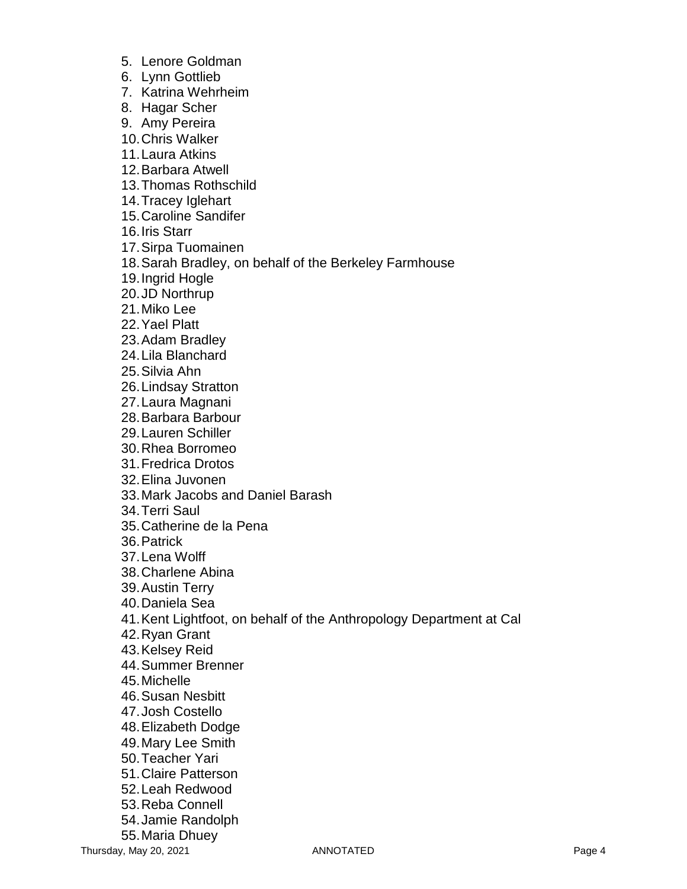- 5. Lenore Goldman
- 6. Lynn Gottlieb
- 7. Katrina Wehrheim
- 8. Hagar Scher
- 9. Amy Pereira
- 10.Chris Walker
- 11.Laura Atkins
- 12.Barbara Atwell
- 13.Thomas Rothschild
- 14.Tracey Iglehart
- 15.Caroline Sandifer
- 16.Iris Starr
- 17.Sirpa Tuomainen
- 18.Sarah Bradley, on behalf of the Berkeley Farmhouse
- 19.Ingrid Hogle
- 20.JD Northrup
- 21.Miko Lee
- 22.Yael Platt
- 23.Adam Bradley
- 24.Lila Blanchard
- 25.Silvia Ahn
- 26.Lindsay Stratton
- 27.Laura Magnani
- 28.Barbara Barbour
- 29.Lauren Schiller
- 30.Rhea Borromeo
- 31.Fredrica Drotos
- 32.Elina Juvonen
- 33.Mark Jacobs and Daniel Barash
- 34.Terri Saul
- 35.Catherine de la Pena
- 36.Patrick
- 37.Lena Wolff
- 38.Charlene Abina
- 39.Austin Terry
- 40.Daniela Sea
- 41.Kent Lightfoot, on behalf of the Anthropology Department at Cal
- 42.Ryan Grant
- 43.Kelsey Reid
- 44.Summer Brenner
- 45.Michelle
- 46.Susan Nesbitt
- 47.Josh Costello
- 48.Elizabeth Dodge
- 49.Mary Lee Smith
- 50.Teacher Yari
- 51.Claire Patterson
- 52.Leah Redwood
- 53.Reba Connell
- 54.Jamie Randolph
- 55.Maria Dhuey